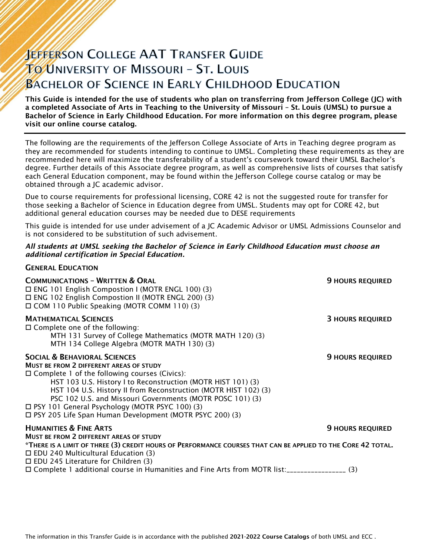# **JEFFERSON COLLEGE AAT TRANSFER GUIDE TO UNIVERSITY OF MISSOURI - ST. LOUIS BACHELOR OF SCIENCE IN EARLY CHILDHOOD EDUCATION**

This Guide is intended for the use of students who plan on transferring from Jefferson College (JC) with a completed Associate of Arts in Teaching to the University of Missouri – St. Louis (UMSL) to pursue a Bachelor of Science in Early Childhood Education. For more information on this degree program, please visit our online course catalog.

The following are the requirements of the Jefferson College Associate of Arts in Teaching degree program as they are recommended for students intending to continue to UMSL. Completing these requirements as they are recommended here will maximize the transferability of a student's coursework toward their UMSL Bachelor's degree. Further details of this Associate degree program, as well as comprehensive lists of courses that satisfy each General Education component, may be found within the Jefferson College course catalog or may be obtained through a JC academic advisor.

Due to course requirements for professional licensing, CORE 42 is not the suggested route for transfer for those seeking a Bachelor of Science in Education degree from UMSL. Students may opt for CORE 42, but additional general education courses may be needed due to DESE requirements

This guide is intended for use under advisement of a JC Academic Advisor or UMSL Admissions Counselor and is not considered to be substitution of such advisement.

#### *All students at UMSL seeking the Bachelor of Science in Early Childhood Education must choose an additional certification in Special Education.*

GENERAL EDUCATION

| <b>COMMUNICATIONS - WRITTEN &amp; ORAL</b><br>□ ENG 101 English Compostion I (MOTR ENGL 100) (3)<br>□ ENG 102 English Compostion II (MOTR ENGL 200) (3)<br>□ COM 110 Public Speaking (MOTR COMM 110) (3)                                                                                                                                                                                                                                                           | <b>9 HOURS REQUIRED</b> |
|--------------------------------------------------------------------------------------------------------------------------------------------------------------------------------------------------------------------------------------------------------------------------------------------------------------------------------------------------------------------------------------------------------------------------------------------------------------------|-------------------------|
| <b>MATHEMATICAL SCIENCES</b><br>$\Box$ Complete one of the following:<br>MTH 131 Survey of College Mathematics (MOTR MATH 120) (3)<br>MTH 134 College Algebra (MOTR MATH 130) (3)                                                                                                                                                                                                                                                                                  | <b>3 HOURS REQUIRED</b> |
| <b>SOCIAL &amp; BEHAVIORAL SCIENCES</b><br><b>MUST BE FROM 2 DIFFERENT AREAS OF STUDY</b><br>$\Box$ Complete 1 of the following courses (Civics):<br>HST 103 U.S. History I to Reconstruction (MOTR HIST 101) (3)<br>HST 104 U.S. History II from Reconstruction (MOTR HIST 102) (3)<br>PSC 102 U.S. and Missouri Governments (MOTR POSC 101) (3)<br>□ PSY 101 General Psychology (MOTR PSYC 100) (3)<br>□ PSY 205 Life Span Human Development (MOTR PSYC 200) (3) | <b>9 HOURS REQUIRED</b> |
| <b>HUMANITIES &amp; FINE ARTS</b>                                                                                                                                                                                                                                                                                                                                                                                                                                  | <b>9 HOURS REQUIRED</b> |
| MUST BE FROM 2 DIFFERENT AREAS OF STUDY<br>*THERE IS A LIMIT OF THREE (3) CREDIT HOURS OF PERFORMANCE COURSES THAT CAN BE APPLIED TO THE CORE 42 TOTAL.<br>□ EDU 240 Multicultural Education (3)<br>$\Box$ EDU 245 Literature for Children (3)                                                                                                                                                                                                                     |                         |
| □ Complete 1 additional course in Humanities and Fine Arts from MOTR list:_________________(3)                                                                                                                                                                                                                                                                                                                                                                     |                         |